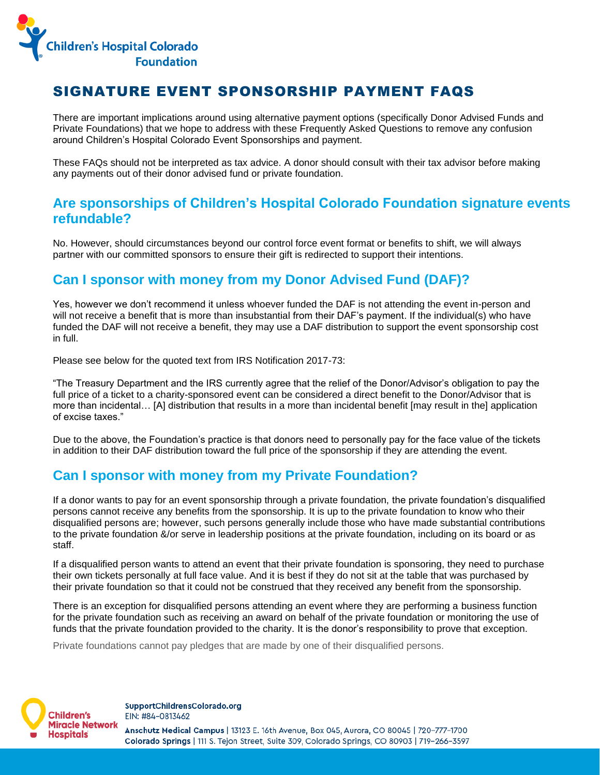

# SIGNATURE EVENT SPONSORSHIP PAYMENT FAQS

There are important implications around using alternative payment options (specifically Donor Advised Funds and Private Foundations) that we hope to address with these Frequently Asked Questions to remove any confusion around Children's Hospital Colorado Event Sponsorships and payment.

These FAQs should not be interpreted as tax advice. A donor should consult with their tax advisor before making any payments out of their donor advised fund or private foundation.

#### **Are sponsorships of Children's Hospital Colorado Foundation signature events refundable?**

No. However, should circumstances beyond our control force event format or benefits to shift, we will always partner with our committed sponsors to ensure their gift is redirected to support their intentions.

## **Can I sponsor with money from my Donor Advised Fund (DAF)?**

Yes, however we don't recommend it unless whoever funded the DAF is not attending the event in-person and will not receive a benefit that is more than insubstantial from their DAF's payment. If the individual(s) who have funded the DAF will not receive a benefit, they may use a DAF distribution to support the event sponsorship cost in full.

Please see below for the quoted text from IRS Notification 2017-73:

"The Treasury Department and the IRS currently agree that the relief of the Donor/Advisor's obligation to pay the full price of a ticket to a charity-sponsored event can be considered a direct benefit to the Donor/Advisor that is more than incidental… [A] distribution that results in a more than incidental benefit [may result in the] application of excise taxes."

Due to the above, the Foundation's practice is that donors need to personally pay for the face value of the tickets in addition to their DAF distribution toward the full price of the sponsorship if they are attending the event.

## **Can I sponsor with money from my Private Foundation?**

If a donor wants to pay for an event sponsorship through a private foundation, the private foundation's disqualified persons cannot receive any benefits from the sponsorship. It is up to the private foundation to know who their disqualified persons are; however, such persons generally include those who have made substantial contributions to the private foundation &/or serve in leadership positions at the private foundation, including on its board or as staff.

If a disqualified person wants to attend an event that their private foundation is sponsoring, they need to purchase their own tickets personally at full face value. And it is best if they do not sit at the table that was purchased by their private foundation so that it could not be construed that they received any benefit from the sponsorship.

There is an exception for disqualified persons attending an event where they are performing a business function for the private foundation such as receiving an award on behalf of the private foundation or monitoring the use of funds that the private foundation provided to the charity. It is the donor's responsibility to prove that exception.

Private foundations cannot pay pledges that are made by one of their disqualified persons.

**Children's Miracle Network Hospitals** 

SupportChildrensColorado.org EIN: #84-0813462

Anschutz Medical Campus | 13123 E. 16th Avenue, Box 045, Aurora, CO 80045 | 720-777-1700 Colorado Springs | 111 S. Tejon Street, Suite 309, Colorado Springs, CO 80903 | 719-266-3597